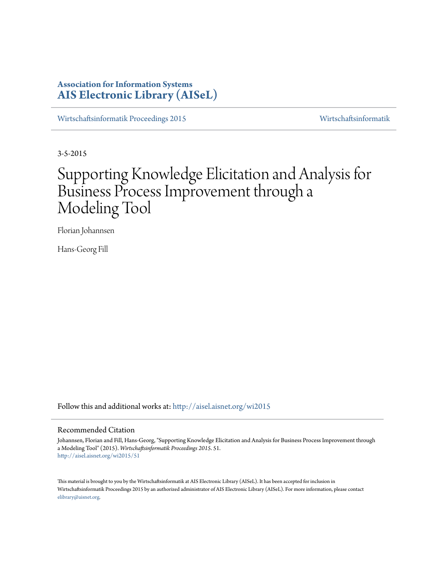# **Association for Information Systems [AIS Electronic Library \(AISeL\)](http://aisel.aisnet.org?utm_source=aisel.aisnet.org%2Fwi2015%2F51&utm_medium=PDF&utm_campaign=PDFCoverPages)**

[Wirtschaftsinformatik Proceedings 2015](http://aisel.aisnet.org/wi2015?utm_source=aisel.aisnet.org%2Fwi2015%2F51&utm_medium=PDF&utm_campaign=PDFCoverPages) [Wirtschaftsinformatik](http://aisel.aisnet.org/wi?utm_source=aisel.aisnet.org%2Fwi2015%2F51&utm_medium=PDF&utm_campaign=PDFCoverPages)

3-5-2015

# Supporting Knowledge Elicitation and Analysis for Business Process Improvement through a Modeling Tool

Florian Johannsen

Hans-Georg Fill

Follow this and additional works at: [http://aisel.aisnet.org/wi2015](http://aisel.aisnet.org/wi2015?utm_source=aisel.aisnet.org%2Fwi2015%2F51&utm_medium=PDF&utm_campaign=PDFCoverPages)

## Recommended Citation

Johannsen, Florian and Fill, Hans-Georg, "Supporting Knowledge Elicitation and Analysis for Business Process Improvement through a Modeling Tool" (2015). *Wirtschaftsinformatik Proceedings 2015*. 51. [http://aisel.aisnet.org/wi2015/51](http://aisel.aisnet.org/wi2015/51?utm_source=aisel.aisnet.org%2Fwi2015%2F51&utm_medium=PDF&utm_campaign=PDFCoverPages)

This material is brought to you by the Wirtschaftsinformatik at AIS Electronic Library (AISeL). It has been accepted for inclusion in Wirtschaftsinformatik Proceedings 2015 by an authorized administrator of AIS Electronic Library (AISeL). For more information, please contact [elibrary@aisnet.org.](mailto:elibrary@aisnet.org%3E)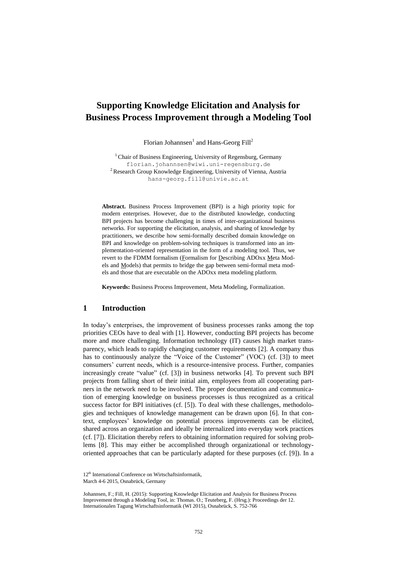# **Supporting Knowledge Elicitation and Analysis for Business Process Improvement through a Modeling Tool**

Florian Johannsen $^1$  and Hans-Georg Fill<sup>2</sup>

<sup>1</sup> Chair of Business Engineering, University of Regensburg, Germany florian.johannsen@wiwi.uni-regensburg.de <sup>2</sup> Research Group Knowledge Engineering, University of Vienna, Austria hans-georg.fill@univie.ac.at

**Abstract.** Business Process Improvement (BPI) is a high priority topic for modern enterprises. However, due to the distributed knowledge, conducting BPI projects has become challenging in times of inter-organizational business networks. For supporting the elicitation, analysis, and sharing of knowledge by practitioners, we describe how semi-formally described domain knowledge on BPI and knowledge on problem-solving techniques is transformed into an implementation-oriented representation in the form of a modeling tool. Thus, we revert to the FDMM formalism (Formalism for Describing ADOxx Meta Models and Models) that permits to bridge the gap between semi-formal meta models and those that are executable on the ADOxx meta modeling platform.

**Keywords:** Business Process Improvement, Meta Modeling, Formalization.

# **1 Introduction**

In today's enterprises, the improvement of business processes ranks among the top priorities CEOs have to deal with [1]. However, conducting BPI projects has become more and more challenging. Information technology (IT) causes high market transparency, which leads to rapidly changing customer requirements [2]. A company thus has to continuously analyze the "Voice of the Customer" (VOC) (cf. [3]) to meet consumers' current needs, which is a resource-intensive process. Further, companies increasingly create "value" (cf. [3]) in business networks [4]. To prevent such BPI projects from falling short of their initial aim, employees from all cooperating partners in the network need to be involved. The proper documentation and communication of emerging knowledge on business processes is thus recognized as a critical success factor for BPI initiatives (cf. [5]). To deal with these challenges, methodologies and techniques of knowledge management can be drawn upon [6]. In that context, employees' knowledge on potential process improvements can be elicited, shared across an organization and ideally be internalized into everyday work practices (cf. [7]). Elicitation thereby refers to obtaining information required for solving problems [8]. This may either be accomplished through organizational or technologyoriented approaches that can be particularly adapted for these purposes (cf. [9]). In a

Johannsen, F.; Fill, H. (2015): Supporting Knowledge Elicitation and Analysis for Business Process Improvement through a Modeling Tool, in: Thomas. O.; Teuteberg, F. (Hrsg.): Proceedings der 12. Internationalen Tagung Wirtschaftsinformatik (WI 2015), Osnabrück, S. 752-766

<sup>12&</sup>lt;sup>th</sup> International Conference on Wirtschaftsinformatik, March 4-6 2015, Osnabrück, Germany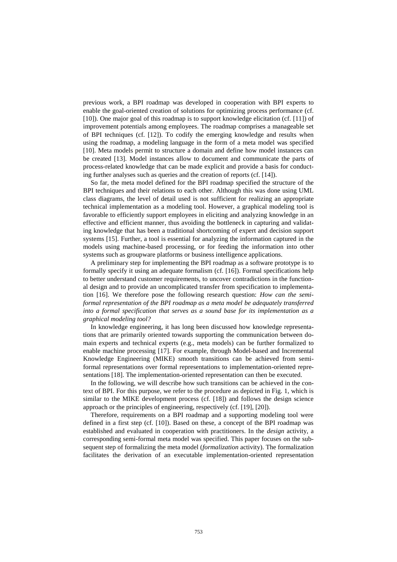previous work, a BPI roadmap was developed in cooperation with BPI experts to enable the goal-oriented creation of solutions for optimizing process performance (cf. [10]). One major goal of this roadmap is to support knowledge elicitation (cf. [11]) of improvement potentials among employees. The roadmap comprises a manageable set of BPI techniques (cf. [12]). To codify the emerging knowledge and results when using the roadmap, a modeling language in the form of a meta model was specified [10]. Meta models permit to structure a domain and define how model instances can be created [13]. Model instances allow to document and communicate the parts of process-related knowledge that can be made explicit and provide a basis for conducting further analyses such as queries and the creation of reports (cf. [14]).

So far, the meta model defined for the BPI roadmap specified the structure of the BPI techniques and their relations to each other. Although this was done using UML class diagrams, the level of detail used is not sufficient for realizing an appropriate technical implementation as a modeling tool. However, a graphical modeling tool is favorable to efficiently support employees in eliciting and analyzing knowledge in an effective and efficient manner, thus avoiding the bottleneck in capturing and validating knowledge that has been a traditional shortcoming of expert and decision support systems [15]. Further, a tool is essential for analyzing the information captured in the models using machine-based processing, or for feeding the information into other systems such as groupware platforms or business intelligence applications.

A preliminary step for implementing the BPI roadmap as a software prototype is to formally specify it using an adequate formalism (cf. [16]). Formal specifications help to better understand customer requirements, to uncover contradictions in the functional design and to provide an uncomplicated transfer from specification to implementation [16]. We therefore pose the following research question: *How can the semiformal representation of the BPI roadmap as a meta model be adequately transferred into a formal specification that serves as a sound base for its implementation as a graphical modeling tool?*

In knowledge engineering, it has long been discussed how knowledge representations that are primarily oriented towards supporting the communication between domain experts and technical experts (e.g., meta models) can be further formalized to enable machine processing [17]. For example, through Model-based and Incremental Knowledge Engineering (MIKE) smooth transitions can be achieved from semiformal representations over formal representations to implementation-oriented representations [18]. The implementation-oriented representation can then be executed.

In the following, we will describe how such transitions can be achieved in the context of BPI. For this purpose, we refer to the procedure as depicted in Fig. 1, which is similar to the MIKE development process (cf. [18]) and follows the design science approach or the principles of engineering, respectively (cf. [19], [20]).

Therefore, requirements on a BPI roadmap and a supporting modeling tool were defined in a first step (cf. [10]). Based on these, a concept of the BPI roadmap was established and evaluated in cooperation with practitioners. In the *design* activity, a corresponding semi-formal meta model was specified. This paper focuses on the subsequent step of formalizing the meta model (*formalization* activity). The formalization facilitates the derivation of an executable implementation-oriented representation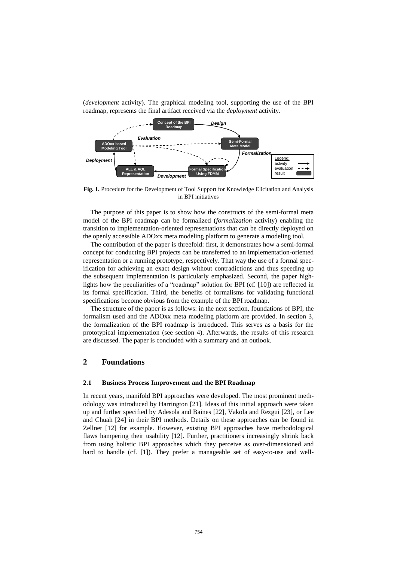

(*development* activity). The graphical modeling tool, supporting the use of the BPI roadmap, represents the final artifact received via the *deployment* activity.

**Fig. 1.** Procedure for the Development of Tool Support for Knowledge Elicitation and Analysis in BPI initiatives

The purpose of this paper is to show how the constructs of the semi-formal meta model of the BPI roadmap can be formalized (*formalization* activity) enabling the transition to implementation-oriented representations that can be directly deployed on the openly accessible ADOxx meta modeling platform to generate a modeling tool.

The contribution of the paper is threefold: first, it demonstrates how a semi-formal concept for conducting BPI projects can be transferred to an implementation-oriented representation or a running prototype, respectively. That way the use of a formal specification for achieving an exact design without contradictions and thus speeding up the subsequent implementation is particularly emphasized. Second, the paper highlights how the peculiarities of a "roadmap" solution for BPI (cf. [10]) are reflected in its formal specification. Third, the benefits of formalisms for validating functional specifications become obvious from the example of the BPI roadmap.

The structure of the paper is as follows: in the next section, foundations of BPI, the formalism used and the ADOxx meta modeling platform are provided. In section 3, the formalization of the BPI roadmap is introduced. This serves as a basis for the prototypical implementation (see section 4). Afterwards, the results of this research are discussed. The paper is concluded with a summary and an outlook.

# **2 Foundations**

#### **2.1 Business Process Improvement and the BPI Roadmap**

In recent years, manifold BPI approaches were developed. The most prominent methodology was introduced by Harrington [21]. Ideas of this initial approach were taken up and further specified by Adesola and Baines [22], Vakola and Rezgui [23], or Lee and Chuah [24] in their BPI methods. Details on these approaches can be found in Zellner [12] for example. However, existing BPI approaches have methodological flaws hampering their usability [12]. Further, practitioners increasingly shrink back from using holistic BPI approaches which they perceive as over-dimensioned and hard to handle (cf. [1]). They prefer a manageable set of easy-to-use and well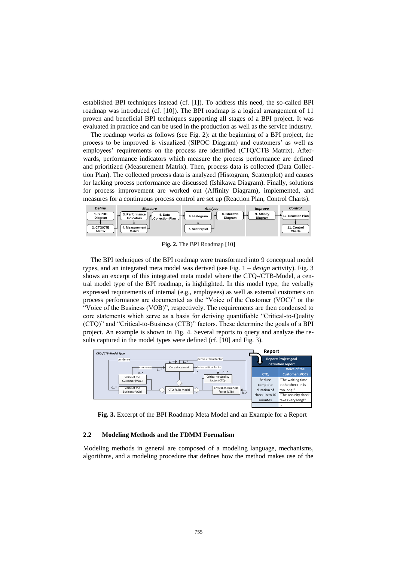established BPI techniques instead (cf. [1]). To address this need, the so-called BPI roadmap was introduced (cf. [10]). The BPI roadmap is a logical arrangement of 11 proven and beneficial BPI techniques supporting all stages of a BPI project. It was evaluated in practice and can be used in the production as well as the service industry.

The roadmap works as follows (see Fig. 2): at the beginning of a BPI project, the process to be improved is visualized (SIPOC Diagram) and customers' as well as employees' requirements on the process are identified (CTQ/CTB Matrix). Afterwards, performance indicators which measure the process performance are defined and prioritized (Measurement Matrix). Then, process data is collected (Data Collection Plan). The collected process data is analyzed (Histogram, Scatterplot) and causes for lacking process performance are discussed (Ishikawa Diagram). Finally, solutions for process improvement are worked out (Affinity Diagram), implemented, and measures for a continuous process control are set up (Reaction Plan, Control Charts).



**Fig. 2.** The BPI Roadmap [10]

The BPI techniques of the BPI roadmap were transformed into 9 conceptual model types, and an integrated meta model was derived (see Fig. 1 – *design* activity). Fig. 3 shows an excerpt of this integrated meta model where the CTQ-/CTB-Model, a central model type of the BPI roadmap, is highlighted. In this model type, the verbally expressed requirements of internal (e.g., employees) as well as external customers on process performance are documented as the "Voice of the Customer (VOC)" or the "Voice of the Business (VOB)", respectively. The requirements are then condensed to core statements which serve as a basis for deriving quantifiable "Critical-to-Quality (CTQ)" and "Critical-to-Business (CTB)" factors. These determine the goals of a BPI project. An example is shown in Fig. 4. Several reports to query and analyze the results captured in the model types were defined (cf. [10] and Fig. 3).



**Fig. 3.** Excerpt of the BPI Roadmap Meta Model and an Example for a Report

#### **2.2 Modeling Methods and the FDMM Formalism**

Modeling methods in general are composed of a modeling language, mechanisms, algorithms, and a modeling procedure that defines how the method makes use of the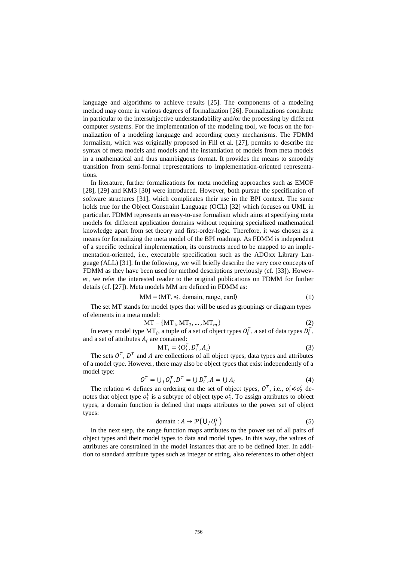language and algorithms to achieve results [25]. The components of a modeling method may come in various degrees of formalization [26]. Formalizations contribute in particular to the intersubjective understandability and/or the processing by different computer systems. For the implementation of the modeling tool, we focus on the formalization of a modeling language and according query mechanisms. The FDMM formalism, which was originally proposed in Fill et al. [27], permits to describe the syntax of meta models and models and the instantiation of models from meta models in a mathematical and thus unambiguous format. It provides the means to smoothly transition from semi-formal representations to implementation-oriented representations.

In literature, further formalizations for meta modeling approaches such as EMOF [28], [29] and KM3 [30] were introduced. However, both pursue the specification of software structures [31], which complicates their use in the BPI context. The same holds true for the Object Constraint Language (OCL) [32] which focuses on UML in particular. FDMM represents an easy-to-use formalism which aims at specifying meta models for different application domains without requiring specialized mathematical knowledge apart from set theory and first-order-logic. Therefore, it was chosen as a means for formalizing the meta model of the BPI roadmap. As FDMM is independent of a specific technical implementation, its constructs need to be mapped to an implementation-oriented, i.e., executable specification such as the ADOxx Library Language (ALL) [31]. In the following, we will briefly describe the very core concepts of FDMM as they have been used for method descriptions previously (cf. [33]). However, we refer the interested reader to the original publications on FDMM for further details (cf. [27]). Meta models MM are defined in FDMM as:

$$
MM = \langle MT, \preccurlyeq, domain, range, card \rangle \tag{1}
$$

The set MT stands for model types that will be used as groupings or diagram types of elements in a meta model:

$$
MT = \{MT_1, MT_2, \dots, MT_m\}
$$
 (2)

In every model type MT $_i$ , a tuple of a set of object types  $O_i^T$ , a set of data types  $D_i^T$ , and a set of attributes  $A_i$  are contained:

$$
MT_i = \langle O_i^T, D_i^T, A_i \rangle \tag{3}
$$

The sets  $O<sup>T</sup>$ ,  $D<sup>T</sup>$  and A are collections of all object types, data types and attributes of a model type. However, there may also be object types that exist independently of a model type:

$$
OT = \bigcup_j O_jT, DT = \bigcup D_iT, A = \bigcup A_i
$$
\n(4)

The relation  $\leq$  defines an ordering on the set of object types,  $O^T$ , i.e.,  $o_1^t \leq o_2^t$  denotes that object type  $o_1^t$  is a subtype of object type  $o_2^t$ . To assign attributes to object types, a domain function is defined that maps attributes to the power set of object types:

domain : 
$$
A \to \mathcal{P}(\bigcup_j O_j^T)
$$
 (5)

In the next step, the range function maps attributes to the power set of all pairs of object types and their model types to data and model types. In this way, the values of attributes are constrained in the model instances that are to be defined later. In addition to standard attribute types such as integer or string, also references to other object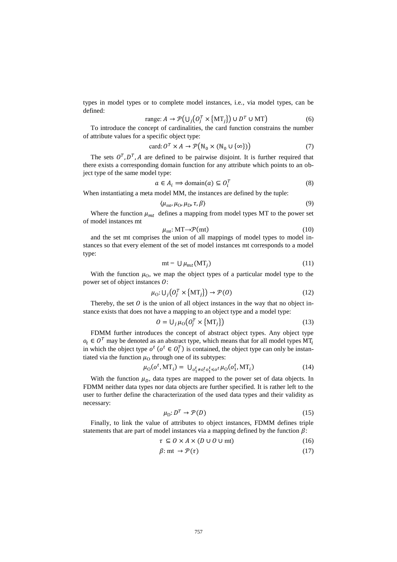types in model types or to complete model instances, i.e., via model types, can be defined:

$$
\text{range: } A \to \mathcal{P}\big(\bigcup_j \big(\mathbf{0}_j^T \times \{\mathbf{MT}_j\}\big) \cup \mathbf{D}^T \cup \mathbf{MT}\big) \tag{6}
$$

To introduce the concept of cardinalities, the card function constrains the number of attribute values for a specific object type:

$$
card: O^T \times A \to \mathcal{P}(\mathbb{N}_0 \times (\mathbb{N}_0 \cup {\infty} )) \tag{7}
$$

The sets  $O^T$ ,  $D^T$ , A are defined to be pairwise disjoint. It is further required that there exists a corresponding domain function for any attribute which points to an object type of the same model type:

$$
a \in A_i \implies \text{domain}(a) \subseteq O_i^T \tag{8}
$$

When instantiating a meta model MM, the instances are defined by the tuple:

$$
\langle \mu_{\rm mt}, \mu_{\rm O}, \mu_{\rm D}, \tau, \beta \rangle \tag{9}
$$

Where the function  $\mu_{mt}$  defines a mapping from model types MT to the power set of model instances mt

$$
\mu_{\rm mt} : \mathbf{MT} \to \mathcal{P}(\mathbf{mt}) \tag{10}
$$

and the set mt comprises the union of all mappings of model types to model instances so that every element of the set of model instances mt corresponds to a model type:

$$
mt = U \mu_{mt}(MT_j) \tag{11}
$$

With the function  $\mu_{\text{O}}$ , we map the object types of a particular model type to the power set of object instances  $\ddot{o}$ :

$$
\mu_0: \bigcup_j \big(\mathbf{0}_j^T \times \{ \mathbf{MT}_j \} \big) \to \mathcal{P}(\mathbf{0})
$$
\n(12)

Thereby, the set  $\theta$  is the union of all object instances in the way that no object instance exists that does not have a mapping to an object type and a model type:

$$
O = U_j \mu_0 \big( O_j^T \times \{MT_j\} \big) \tag{13}
$$

FDMM further introduces the concept of abstract object types. Any object type  $o_t \in \mathcal{O}^T$  may be denoted as an abstract type, which means that for all model types  $MT_i$ in which the object type  $o^t$  ( $o^t \in O_i^T$ ) is contained, the object type can only be instantiated via the function  $\mu_0$  through one of its subtypes:

$$
\mu_0(o^t, M T_i) = U_{o_1^t \neq o_i^t o_1^t \leq o^t} \mu_0(o_1^t, M T_i)
$$
\n(14)

With the function  $\mu<sub>D</sub>$ , data types are mapped to the power set of data objects. In FDMM neither data types nor data objects are further specified. It is rather left to the user to further define the characterization of the used data types and their validity as necessary:

$$
\mu_{\mathcal{D}}: D^T \to \mathcal{P}(D) \tag{15}
$$

Finally, to link the value of attributes to object instances, FDMM defines triple statements that are part of model instances via a mapping defined by the function  $\beta$ :

$$
\tau \subseteq O \times A \times (D \cup O \cup mt) \tag{16}
$$

$$
\beta: \text{mt} \to \mathcal{P}(\tau) \tag{17}
$$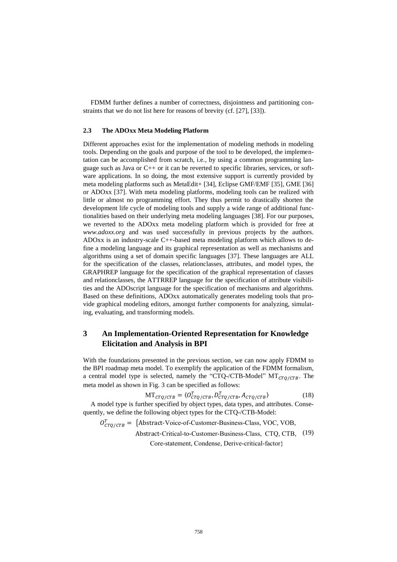FDMM further defines a number of correctness, disjointness and partitioning constraints that we do not list here for reasons of brevity (cf. [27], [33]).

#### **2.3 The ADOxx Meta Modeling Platform**

Different approaches exist for the implementation of modeling methods in modeling tools. Depending on the goals and purpose of the tool to be developed, the implementation can be accomplished from scratch, i.e., by using a common programming language such as Java or  $C_{++}$  or it can be reverted to specific libraries, services, or software applications. In so doing, the most extensive support is currently provided by meta modeling platforms such as MetaEdit+ [34], Eclipse GMF/EMF [35], GME [36] or ADOxx [37]. With meta modeling platforms, modeling tools can be realized with little or almost no programming effort. They thus permit to drastically shorten the development life cycle of modeling tools and supply a wide range of additional functionalities based on their underlying meta modeling languages [38]. For our purposes, we reverted to the ADOxx meta modeling platform which is provided for free at *www.adoxx.org* and was used successfully in previous projects by the authors. ADOxx is an industry-scale C++-based meta modeling platform which allows to define a modeling language and its graphical representation as well as mechanisms and algorithms using a set of domain specific languages [37]. These languages are ALL for the specification of the classes, relationclasses, attributes, and model types, the GRAPHREP language for the specification of the graphical representation of classes and relationclasses, the ATTRREP language for the specification of attribute visibilities and the ADOscript language for the specification of mechanisms and algorithms. Based on these definitions, ADOxx automatically generates modeling tools that provide graphical modeling editors, amongst further components for analyzing, simulating, evaluating, and transforming models.

# **3 An Implementation-Oriented Representation for Knowledge Elicitation and Analysis in BPI**

With the foundations presented in the previous section, we can now apply FDMM to the BPI roadmap meta model. To exemplify the application of the FDMM formalism, a central model type is selected, namely the "CTQ-/CTB-Model"  $MT<sub>CTO</sub>/CTB$ . The meta model as shown in Fig. 3 can be specified as follows:

$$
MT_{CTQ/CTB} = \langle 0_{CTQ/CTB}^T, D_{CTQ/CTB}^T, A_{CTQ/CTB} \rangle
$$
 (18)

A model type is further specified by object types, data types, and attributes. Consequently, we define the following object types for the CTQ-/CTB-Model:

 $O_{CTQ/CTB}^{T} = \{Abstract-Voice-of-Customer-Business-Class, VOC, VOB,$ Abstract-Critical-to-Customer-Business-Class, CTQ, CTB, (19)

Core-statement, Condense, Derive-critical-factor}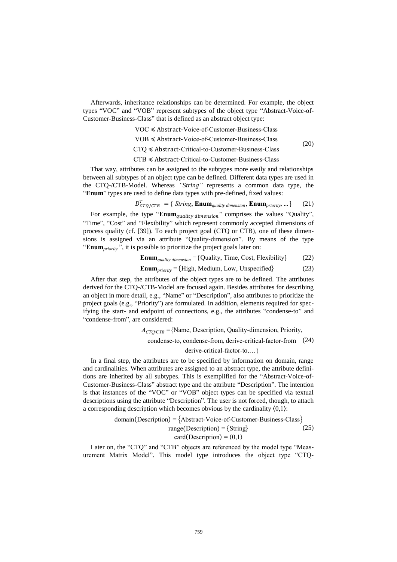Afterwards, inheritance relationships can be determined. For example, the object types "VOC" and "VOB" represent subtypes of the object type "Abstract-Voice-of-Customer-Business-Class" that is defined as an abstract object type:

- VOC ≼ Abstract-Voice-of-Customer-Business-Class
- VOB ≼ Abstract-Voice-of-Customer-Business-Class

(20)

- CTQ ≼ Abstract-Critical-to-Customer-Business-Class
- CTB ≼ Abstract-Critical-to-Customer-Business-Class

That way, attributes can be assigned to the subtypes more easily and relationships between all subtypes of an object type can be defined. Different data types are used in the CTQ-/CTB-Model. Whereas *"String"* represents a common data type, the "**Enum**" types are used to define data types with pre-defined, fixed values:

$$
D_{CTQ/CTB}^T = \{ String, Enum_{quality\ dimension}, Enum_{priority}, ... \}
$$
 (21)

For example, the type " $\text{Enum}_{quality\ dimension}$ " comprises the values "Quality", "Time", "Cost" and "Flexibility" which represent commonly accepted dimensions of process quality (cf. [39]). To each project goal (CTQ or CTB), one of these dimensions is assigned via an attribute "Quality-dimension". By means of the type "**Enum***priority* ", it is possible to prioritize the project goals later on:

**Enum***quality dimension* = {Quality, Time, Cost, Flexibility} (22)

$$
Enum_{priority} = {High, Medium, Low, Unspecified}
$$
 (23)

After that step, the attributes of the object types are to be defined. The attributes derived for the CTQ-/CTB-Model are focused again. Besides attributes for describing an object in more detail, e.g., "Name" or "Description", also attributes to prioritize the project goals (e.g., "Priority") are formulated. In addition, elements required for specifying the start- and endpoint of connections, e.g., the attributes "condense-to" and "condense-from", are considered:

> $A_{CTO/CTB}$  ={Name, Description, Quality-dimension, Priority, condense-to, condense-from, derive-critical-factor-from (24)

derive-critical-factor-to,…}

In a final step, the attributes are to be specified by information on domain, range and cardinalities. When attributes are assigned to an abstract type, the attribute definitions are inherited by all subtypes. This is exemplified for the "Abstract-Voice-of-Customer-Business-Class" abstract type and the attribute "Description". The intention is that instances of the "VOC" or "VOB" object types can be specified via textual descriptions using the attribute "Description". The user is not forced, though, to attach a corresponding description which becomes obvious by the cardinality  $(0,1)$ :

domain (Description) = {Abstract-Voice-of-Customer-Business-Class}  
range (Description) = {String} (25)  
card (Description) = 
$$
\langle 0,1 \rangle
$$

Later on, the "CTQ" and "CTB" objects are referenced by the model type "Measurement Matrix Model". This model type introduces the object type "CTQ-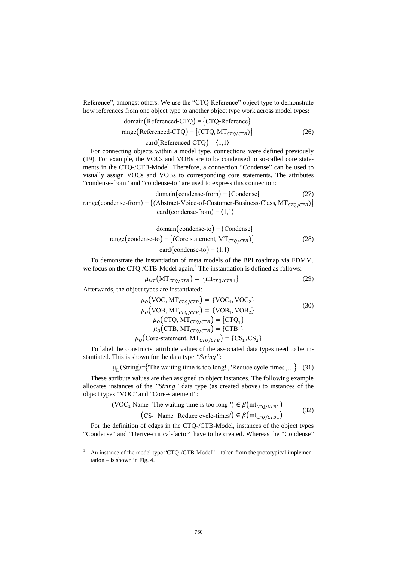Reference", amongst others. We use the "CTQ-Reference" object type to demonstrate how references from one object type to another object type work across model types:

domain(Reference-CTQ) = {CTQ-Reference}  
range(Reference-CTQ) = { (CTQ, MT<sub>CTQ/CTB</sub>)}  
card(Reference-CTQ) = 
$$
\{1,1\}
$$
 (26)

For connecting objects within a model type, connections were defined previously (19). For example, the VOCs and VOBs are to be condensed to so-called core statements in the CTQ-/CTB-Model. Therefore, a connection "Condense" can be used to visually assign VOCs and VOBs to corresponding core statements. The attributes "condense-from" and "condense-to" are used to express this connection:

domain(condense-from) = {Condense} (27)  
range(condense-from) = {(Abstract-Voice-of-Customer-Business-Class, MT<sub>*CTQ/CTB*</sub>)}  
card(condense-from) = 
$$
\langle 1,1 \rangle
$$

domain(condense-to) = {Condense}  
range(condense-to) = {(Core statement, MT<sub>*CTQ*/*CTB*</sub>)}  
card(condense-to) = 
$$
\langle 1,1 \rangle
$$
 (28)

To demonstrate the instantiation of meta models of the BPI roadmap via FDMM, we focus on the CTQ-/CTB-Model again.<sup>1</sup> The instantiation is defined as follows:

$$
\mu_{MT}(\mathrm{MT}_{CTQ/CTB}) = \{\mathrm{mt}_{CTQ/CTB1}\}\tag{29}
$$

Afterwards, the object types are instantiated:

 $\overline{a}$ 

$$
\mu_o(\text{VOC}, \text{MT}_{CTQ/CTB}) = \{\text{VOC}_1, \text{VOC}_2\}
$$
\n
$$
\mu_o(\text{VOB}, \text{MT}_{CTQ/CTB}) = \{\text{VOB}_1, \text{VOB}_2\}
$$
\n
$$
\mu_o(\text{CTQ}, \text{MT}_{CTQ/CTB}) = \{\text{CTQ}_1\}
$$
\n
$$
\mu_o(\text{CTB}, \text{MT}_{CTQ/CTB}) = \{\text{CTB}_1\}
$$
\n
$$
\mu_o(\text{Core-statement}, \text{MT}_{CTQ/CTB}) = \{\text{CS}_1, \text{CS}_2\}
$$
\n(30)

To label the constructs, attribute values of the associated data types need to be instantiated. This is shown for the data type *"String"*:

 $\mu_D(\text{String}) = \{\text{The waiting time is too long!}', \text{Reduce cycle-times}, ...\}$  (31)

These attribute values are then assigned to object instances. The following example allocates instances of the *"String"* data type (as created above) to instances of the object types "VOC" and "Core-statement":

$$
(\text{VOC}_1 \text{ Name 'The waiting time is too long!'}) \in \beta(\text{mt}_{CTQ/CTB1})
$$
  

$$
(\text{CS}_1 \text{ Name 'Reduce cycle-times'}) \in \beta(\text{mt}_{CTQ/CTB1})
$$
 (32)

For the definition of edges in the CTQ-/CTB-Model, instances of the object types "Condense" and "Derive-critical-factor" have to be created. Whereas the "Condense"

<sup>&</sup>lt;sup>1</sup> An instance of the model type "CTQ-/CTB-Model" – taken from the prototypical implementation – is shown in Fig. 4.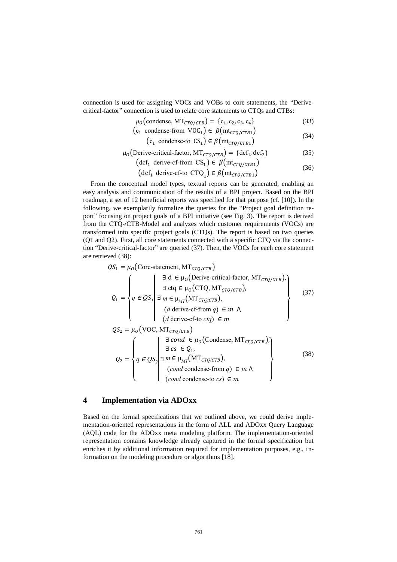connection is used for assigning VOCs and VOBs to core statements, the "Derivecritical-factor" connection is used to relate core statements to CTQs and CTBs:

$$
\mu_0(\text{condense}, \text{MT}_{CTQ/CTB}) = \{c_1, c_2, c_3, c_4\} \tag{33}
$$

$$
(c_1 \text{ condense-from VOC}_1) \in \beta(\text{mt}_{CTQ/CTB1})
$$
\n(34)

$$
(c_1 \text{ condense-to } CS_1) \in \beta(\text{mt}_{CTQ/CTB1})
$$

$$
\mu_0 \text{(Derive-critical-factor, MT}_{CTQ/CTB} \text{)} = \{ \text{dcf}_1, \text{dcf}_2 \} \tag{35}
$$

$$
(\text{def}_1 \text{ derive-of-form CS}_1) \in \beta(\text{mt}_{CTQ/CTB1})
$$
\n(36)

 $(\text{def}_1 \text{ derive-of-to } \text{CTQ}_1) \in \beta(\text{mt}_{CTQ/CTB1})$ 

From the conceptual model types, textual reports can be generated, enabling an easy analysis and communication of the results of a BPI project. Based on the BPI roadmap, a set of 12 beneficial reports was specified for that purpose (cf. [10]). In the following, we exemplarily formalize the queries for the "Project goal definition report" focusing on project goals of a BPI initiative (see Fig. 3). The report is derived from the CTQ-/CTB-Model and analyzes which customer requirements (VOCs) are transformed into specific project goals (CTQs). The report is based on two queries (Q1 and Q2). First, all core statements connected with a specific CTQ via the connection "Derive-critical-factor" are queried (37). Then, the VOCs for each core statement are retrieved (38):

$$
QS_{1} = \mu_{0} \text{ (Core-statement, MT}_{CTQ/CTB})
$$
\n
$$
Q_{1} = \begin{cases} \frac{\exists d \in \mu_{0} \text{ (Derive-critical-factor, MT}_{CTQ/CTB}), \\ \exists ctq \in \mu_{0} \text{ (CTQ, MT}_{CTQ/CTB}), \\ q \in QS_{1} \end{cases} \text{ and } \mu_{MT} \text{ (MT}_{CTQ/CTB}), \\ (d \text{ derive-of-form } q) \in m \text{ A}
$$
\n
$$
OS_{1} = \mu_{0} \text{ (VOC MT)} \tag{37}
$$

<sup>2</sup> = (VOC, MT/) <sup>2</sup> = { *q* <sup>∈</sup> *QS<sup>2</sup>* | | ∃ ∃ ∈ (Condense, MT/), ∃ ∈ <sup>1</sup> , *m* ∈ μ*MT*(MT*CTQ/CTB*), (*cond* condense-from *q*) ∈ ⋀ (*cond* condense-to *cs*) ∈ } (38)

# **4 Implementation via ADOxx**

Based on the formal specifications that we outlined above, we could derive implementation-oriented representations in the form of ALL and ADOxx Query Language (AQL) code for the ADOxx meta modeling platform. The implementation-oriented representation contains knowledge already captured in the formal specification but enriches it by additional information required for implementation purposes, e.g., information on the modeling procedure or algorithms [18].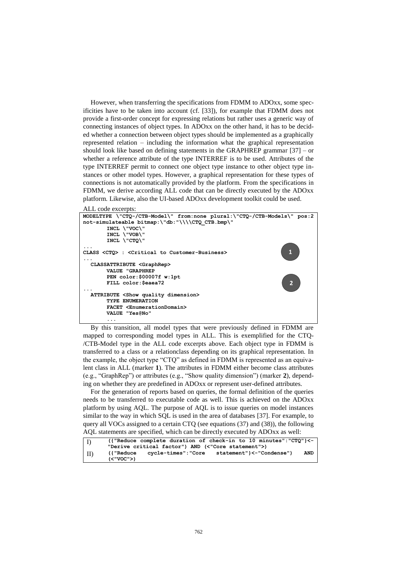However, when transferring the specifications from FDMM to ADOxx, some specificities have to be taken into account (cf. [33]), for example that FDMM does not provide a first-order concept for expressing relations but rather uses a generic way of connecting instances of object types. In ADOxx on the other hand, it has to be decided whether a connection between object types should be implemented as a graphically represented relation – including the information what the graphical representation should look like based on defining statements in the GRAPHREP grammar [37] – or whether a reference attribute of the type INTERREF is to be used. Attributes of the type INTERREF permit to connect one object type instance to other object type instances or other model types. However, a graphical representation for these types of connections is not automatically provided by the platform. From the specifications in FDMM, we derive according ALL code that can be directly executed by the ADOxx platform. Likewise, also the UI-based ADOxx development toolkit could be used.

ALL code excerpts:



By this transition, all model types that were previously defined in FDMM are mapped to corresponding model types in ALL. This is exemplified for the CTQ- /CTB-Model type in the ALL code excerpts above. Each object type in FDMM is transferred to a class or a relationclass depending on its graphical representation. In the example, the object type "CTQ" as defined in FDMM is represented as an equivalent class in ALL (marker **1**). The attributes in FDMM either become class attributes (e.g., "GraphRep") or attributes (e.g., "Show quality dimension") (marker **2**), depending on whether they are predefined in ADOxx or represent user-defined attributes.

For the generation of reports based on queries, the formal definition of the queries needs to be transferred to executable code as well. This is achieved on the ADOxx platform by using AQL. The purpose of AQL is to issue queries on model instances similar to the way in which SQL is used in the area of databases [37]. For example, to query all VOCs assigned to a certain CTQ (see equations (37) and (38)), the following AQL statements are specified, which can be directly executed by ADOxx as well:

| $\vert$ I) | ({"Reduce complete duration of check-in to 10 minutes":"CTQ"}<-  |            |
|------------|------------------------------------------------------------------|------------|
|            | "Derive critical factor") AND (<"Core statement">)               |            |
| $\Box$     | statement"}<-"Condense")<br>cycle-times":"Core<br>l l "Reduce" ) | <b>AND</b> |
|            | (<"VOC">)                                                        |            |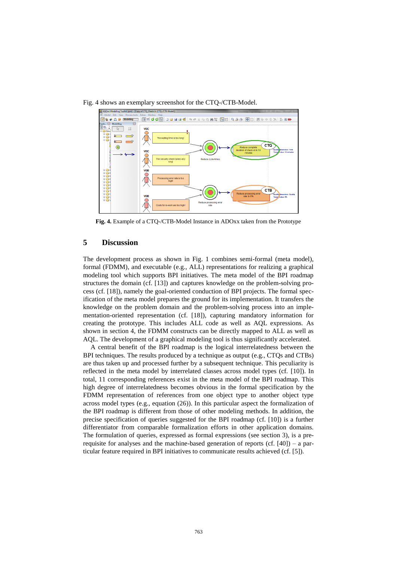Fig. 4 shows an exemplary screenshot for the CTQ-/CTB-Model.



**Fig. 4.** Example of a CTQ-/CTB-Model Instance in ADOxx taken from the Prototype

#### **5 Discussion**

The development process as shown in Fig. 1 combines semi-formal (meta model), formal (FDMM), and executable (e.g., ALL) representations for realizing a graphical modeling tool which supports BPI initiatives. The meta model of the BPI roadmap structures the domain (cf. [13]) and captures knowledge on the problem-solving process (cf. [18]), namely the goal-oriented conduction of BPI projects. The formal specification of the meta model prepares the ground for its implementation. It transfers the knowledge on the problem domain and the problem-solving process into an implementation-oriented representation (cf. [18]), capturing mandatory information for creating the prototype. This includes ALL code as well as AQL expressions. As shown in section 4, the FDMM constructs can be directly mapped to ALL as well as AQL. The development of a graphical modeling tool is thus significantly accelerated.

A central benefit of the BPI roadmap is the logical interrelatedness between the BPI techniques. The results produced by a technique as output (e.g., CTQs and CTBs) are thus taken up and processed further by a subsequent technique. This peculiarity is reflected in the meta model by interrelated classes across model types (cf. [10]). In total, 11 corresponding references exist in the meta model of the BPI roadmap. This high degree of interrelatedness becomes obvious in the formal specification by the FDMM representation of references from one object type to another object type across model types (e.g., equation (26)). In this particular aspect the formalization of the BPI roadmap is different from those of other modeling methods. In addition, the precise specification of queries suggested for the BPI roadmap (cf. [10]) is a further differentiator from comparable formalization efforts in other application domains. The formulation of queries, expressed as formal expressions (see section 3), is a prerequisite for analyses and the machine-based generation of reports (cf.  $[40]$ ) – a particular feature required in BPI initiatives to communicate results achieved (cf. [5]).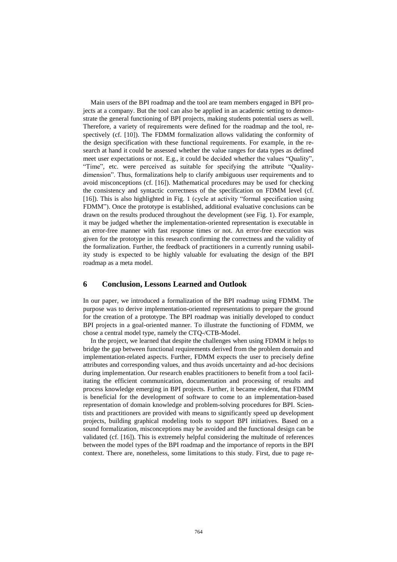Main users of the BPI roadmap and the tool are team members engaged in BPI projects at a company. But the tool can also be applied in an academic setting to demonstrate the general functioning of BPI projects, making students potential users as well. Therefore, a variety of requirements were defined for the roadmap and the tool, respectively (cf. [10]). The FDMM formalization allows validating the conformity of the design specification with these functional requirements. For example, in the research at hand it could be assessed whether the value ranges for data types as defined meet user expectations or not. E.g., it could be decided whether the values "Quality", "Time", etc. were perceived as suitable for specifying the attribute "Qualitydimension". Thus, formalizations help to clarify ambiguous user requirements and to avoid misconceptions (cf. [16]). Mathematical procedures may be used for checking the consistency and syntactic correctness of the specification on FDMM level (cf. [16]). This is also highlighted in Fig. 1 (cycle at activity "formal specification using FDMM"). Once the prototype is established, additional evaluative conclusions can be drawn on the results produced throughout the development (see Fig. 1). For example, it may be judged whether the implementation-oriented representation is executable in an error-free manner with fast response times or not. An error-free execution was given for the prototype in this research confirming the correctness and the validity of the formalization. Further, the feedback of practitioners in a currently running usability study is expected to be highly valuable for evaluating the design of the BPI roadmap as a meta model.

## **6 Conclusion, Lessons Learned and Outlook**

In our paper, we introduced a formalization of the BPI roadmap using FDMM. The purpose was to derive implementation-oriented representations to prepare the ground for the creation of a prototype. The BPI roadmap was initially developed to conduct BPI projects in a goal-oriented manner. To illustrate the functioning of FDMM, we chose a central model type, namely the CTQ-/CTB-Model.

In the project, we learned that despite the challenges when using FDMM it helps to bridge the gap between functional requirements derived from the problem domain and implementation-related aspects. Further, FDMM expects the user to precisely define attributes and corresponding values, and thus avoids uncertainty and ad-hoc decisions during implementation. Our research enables practitioners to benefit from a tool facilitating the efficient communication, documentation and processing of results and process knowledge emerging in BPI projects. Further, it became evident, that FDMM is beneficial for the development of software to come to an implementation-based representation of domain knowledge and problem-solving procedures for BPI. Scientists and practitioners are provided with means to significantly speed up development projects, building graphical modeling tools to support BPI initiatives. Based on a sound formalization, misconceptions may be avoided and the functional design can be validated (cf. [16]). This is extremely helpful considering the multitude of references between the model types of the BPI roadmap and the importance of reports in the BPI context. There are, nonetheless, some limitations to this study. First, due to page re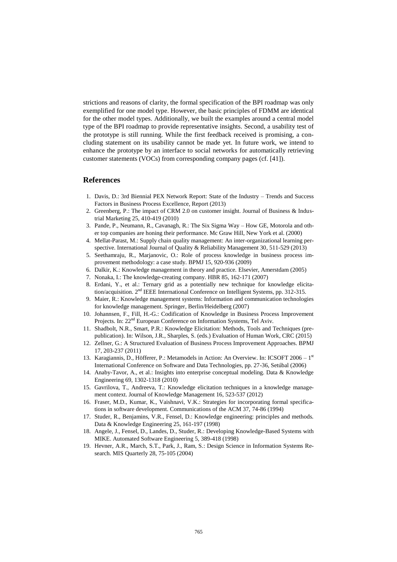strictions and reasons of clarity, the formal specification of the BPI roadmap was only exemplified for one model type. However, the basic principles of FDMM are identical for the other model types. Additionally, we built the examples around a central model type of the BPI roadmap to provide representative insights. Second, a usability test of the prototype is still running. While the first feedback received is promising, a concluding statement on its usability cannot be made yet. In future work, we intend to enhance the prototype by an interface to social networks for automatically retrieving customer statements (VOCs) from corresponding company pages (cf. [41]).

# **References**

- 1. Davis, D.: 3rd Biennial PEX Network Report: State of the Industry Trends and Success Factors in Business Process Excellence, Report (2013)
- 2. Greenberg, P.: The impact of CRM 2.0 on customer insight. Journal of Business & Industrial Marketing 25, 410-419 (2010)
- 3. Pande, P., Neumann, R., Cavanagh, R.: The Six Sigma Way How GE, Motorola and other top companies are honing their performance. Mc Graw Hill, New York et al. (2000)
- 4. Mellat-Parast, M.: Supply chain quality management: An inter-organizational learning perspective. International Journal of Quality & Reliability Management 30, 511-529 (2013)
- 5. Seethamraju, R., Marjanovic, O.: Role of process knowledge in business process improvement methodology: a case study. BPMJ 15, 920-936 (2009)
- 6. Dalkir, K.: Knowledge management in theory and practice. Elsevier, Amerstdam (2005)
- 7. Nonaka, I.: The knowledge-creating company. HBR 85, 162-171 (2007)
- 8. Erdani, Y., et al.: Ternary grid as a potentially new technique for knowledge elicitation/acquisition. 2<sup>nd</sup> IEEE International Conference on Intelligent Systems, pp. 312-315.
- 9. Maier, R.: Knowledge management systems: Information and communication technologies for knowledge management. Springer, Berlin/Heidelberg (2007)
- 10. Johannsen, F., Fill, H.-G.: Codification of Knowledge in Business Process Improvement Projects. In: 22<sup>nd</sup> European Conference on Information Systems, Tel Aviv.
- 11. Shadbolt, N.R., Smart, P.R.: Knowledge Elicitation: Methods, Tools and Techniques (prepublication). In: Wilson, J.R., Sharples, S. (eds.) Evaluation of Human Work, CRC (2015)
- 12. Zellner, G.: A Structured Evaluation of Business Process Improvement Approaches. BPMJ 17, 203-237 (2011)
- 13. Karagiannis, D., Höfferer, P.: Metamodels in Action: An Overview. In: ICSOFT 2006 1<sup>st</sup> International Conference on Software and Data Technologies, pp. 27-36, Setúbal (2006)
- 14. Anaby-Tavor, A., et al.: Insights into enterprise conceptual modeling. Data & Knowledge Engineering 69, 1302-1318 (2010)
- 15. Gavrilova, T., Andreeva, T.: Knowledge elicitation techniques in a knowledge management context. Journal of Knowledge Management 16, 523-537 (2012)
- 16. Fraser, M.D., Kumar, K., Vaishnavi, V.K.: Strategies for incorporating formal specifications in software development. Communications of the ACM 37, 74-86 (1994)
- 17. Studer, R., Benjamins, V.R., Fensel, D.: Knowledge engineering: principles and methods. Data & Knowledge Engineering 25, 161-197 (1998)
- 18. Angele, J., Fensel, D., Landes, D., Studer, R.: Developing Knowledge-Based Systems with MIKE. Automated Software Engineering 5, 389-418 (1998)
- 19. Hevner, A.R., March, S.T., Park, J., Ram, S.: Design Science in Information Systems Research. MIS Quarterly 28, 75-105 (2004)